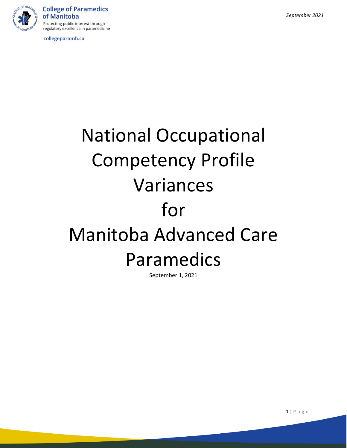

**College of Paramedics** of Manitoba Protecting public interest through regulatory excellence in paramedicine

collegeparamb.ca

# National Occupational Competency Profile Variances for Manitoba Advanced Care Paramedics

September 1, 2021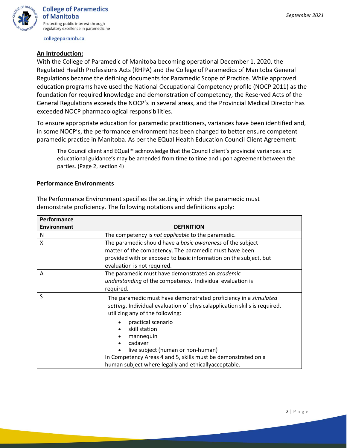## **An Introduction:**

With the College of Paramedic of Manitoba becoming operational December 1, 2020, the Regulated Health Professions Acts (RHPA) and the College of Paramedics of Manitoba General Regulations became the defining documents for Paramedic Scope of Practice. While approved education programs have used the National Occupational Competency profile (NOCP 2011) as the foundation for required knowledge and demonstration of competency, the Reserved Acts of the General Regulations exceeds the NOCP's in several areas, and the Provincial Medical Director has exceeded NOCP pharmacological responsibilities.

To ensure appropriate education for paramedic practitioners, variances have been identified and, in some NOCP's, the performance environment has been changed to better ensure competent paramedic practice in Manitoba. As per the EQual Health Education Council Client Agreement:

The Council client and EQual™ acknowledge that the Council client's provincial variances and educational guidance's may be amended from time to time and upon agreement between the parties. (Page 2, section 4)

## **Performance Environments**

The Performance Environment specifies the setting in which the paramedic must demonstrate proficiency. The following notations and definitions apply:

| Performance        |                                                                                                                                                                                 |  |  |  |  |  |
|--------------------|---------------------------------------------------------------------------------------------------------------------------------------------------------------------------------|--|--|--|--|--|
| <b>Environment</b> | <b>DEFINITION</b>                                                                                                                                                               |  |  |  |  |  |
| N                  | The competency is not applicable to the paramedic.                                                                                                                              |  |  |  |  |  |
| X                  | The paramedic should have a basic awareness of the subject                                                                                                                      |  |  |  |  |  |
|                    | matter of the competency. The paramedic must have been                                                                                                                          |  |  |  |  |  |
|                    | provided with or exposed to basic information on the subject, but                                                                                                               |  |  |  |  |  |
|                    | evaluation is not required.                                                                                                                                                     |  |  |  |  |  |
| A                  | The paramedic must have demonstrated an <i>academic</i>                                                                                                                         |  |  |  |  |  |
|                    | understanding of the competency. Individual evaluation is                                                                                                                       |  |  |  |  |  |
|                    | required.                                                                                                                                                                       |  |  |  |  |  |
| S                  | The paramedic must have demonstrated proficiency in a simulated<br>setting. Individual evaluation of physicalapplication skills is required,<br>utilizing any of the following: |  |  |  |  |  |
|                    | practical scenario<br>skill station                                                                                                                                             |  |  |  |  |  |
|                    | mannequin                                                                                                                                                                       |  |  |  |  |  |
|                    | cadaver<br>$\bullet$<br>live subject (human or non-human)                                                                                                                       |  |  |  |  |  |
|                    | In Competency Areas 4 and 5, skills must be demonstrated on a                                                                                                                   |  |  |  |  |  |
|                    | human subject where legally and ethicallyacceptable.                                                                                                                            |  |  |  |  |  |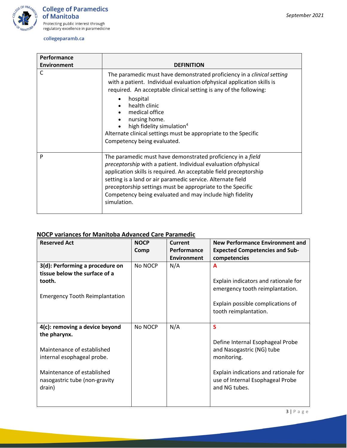

| <b>Performance</b> |                                                                                                                                                                                                                                                                                                                                                                                                             |  |  |  |  |
|--------------------|-------------------------------------------------------------------------------------------------------------------------------------------------------------------------------------------------------------------------------------------------------------------------------------------------------------------------------------------------------------------------------------------------------------|--|--|--|--|
| <b>Environment</b> | <b>DEFINITION</b>                                                                                                                                                                                                                                                                                                                                                                                           |  |  |  |  |
| C                  | The paramedic must have demonstrated proficiency in a clinical setting<br>with a patient. Individual evaluation of physical application skills is<br>required. An acceptable clinical setting is any of the following:                                                                                                                                                                                      |  |  |  |  |
|                    | hospital<br>health clinic<br>medical office<br>nursing home.<br>high fidelity simulation <sup>4</sup><br>Alternate clinical settings must be appropriate to the Specific<br>Competency being evaluated.                                                                                                                                                                                                     |  |  |  |  |
| P                  | The paramedic must have demonstrated proficiency in a field<br>preceptorship with a patient. Individual evaluation of physical<br>application skills is required. An acceptable field preceptorship<br>setting is a land or air paramedic service. Alternate field<br>preceptorship settings must be appropriate to the Specific<br>Competency being evaluated and may include high fidelity<br>simulation. |  |  |  |  |

# **NOCP variances for Manitoba Advanced Care Paramedic**

| <b>Reserved Act</b>                                              | <b>NOCP</b> | Current            | <b>New Performance Environment and</b>   |
|------------------------------------------------------------------|-------------|--------------------|------------------------------------------|
|                                                                  | Comp        | Performance        | <b>Expected Competencies and Sub-</b>    |
|                                                                  |             | <b>Environment</b> | competencies                             |
| 3(d): Performing a procedure on<br>tissue below the surface of a | No NOCP     | N/A                | A                                        |
| tooth.                                                           |             |                    | Explain indicators and rationale for     |
|                                                                  |             |                    | emergency tooth reimplantation.          |
| <b>Emergency Tooth Reimplantation</b>                            |             |                    | Explain possible complications of        |
|                                                                  |             |                    | tooth reimplantation.                    |
|                                                                  |             |                    |                                          |
| 4(c): removing a device beyond                                   | No NOCP     | N/A                | S                                        |
| the pharynx.                                                     |             |                    |                                          |
|                                                                  |             |                    | Define Internal Esophageal Probe         |
| Maintenance of established<br>internal esophageal probe.         |             |                    | and Nasogastric (NG) tube<br>monitoring. |
|                                                                  |             |                    |                                          |
| Maintenance of established                                       |             |                    | Explain indications and rationale for    |
| nasogastric tube (non-gravity                                    |             |                    | use of Internal Esophageal Probe         |
| drain)                                                           |             |                    | and NG tubes.                            |
|                                                                  |             |                    |                                          |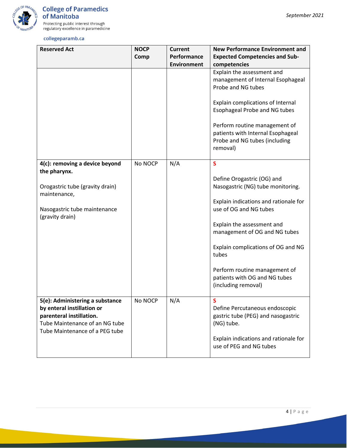

| <b>Reserved Act</b>                                                                                                                                           | <b>NOCP</b><br>Comp | <b>Current</b><br>Performance<br><b>Environment</b> | <b>New Performance Environment and</b><br><b>Expected Competencies and Sub-</b><br>competencies                                                                                                                                                                                                                                                                       |
|---------------------------------------------------------------------------------------------------------------------------------------------------------------|---------------------|-----------------------------------------------------|-----------------------------------------------------------------------------------------------------------------------------------------------------------------------------------------------------------------------------------------------------------------------------------------------------------------------------------------------------------------------|
|                                                                                                                                                               |                     |                                                     | Explain the assessment and<br>management of Internal Esophageal<br>Probe and NG tubes<br>Explain complications of Internal<br>Esophageal Probe and NG tubes<br>Perform routine management of<br>patients with Internal Esophageal<br>Probe and NG tubes (including                                                                                                    |
| 4(c): removing a device beyond<br>the pharynx.<br>Orogastric tube (gravity drain)<br>maintenance,<br>Nasogastric tube maintenance<br>(gravity drain)          | No NOCP             | N/A                                                 | removal)<br>$\mathsf{s}$<br>Define Orogastric (OG) and<br>Nasogastric (NG) tube monitoring.<br>Explain indications and rationale for<br>use of OG and NG tubes<br>Explain the assessment and<br>management of OG and NG tubes<br>Explain complications of OG and NG<br>tubes<br>Perform routine management of<br>patients with OG and NG tubes<br>(including removal) |
| 5(e): Administering a substance<br>by enteral instillation or<br>parenteral instillation.<br>Tube Maintenance of an NG tube<br>Tube Maintenance of a PEG tube | No NOCP             | N/A                                                 | S<br>Define Percutaneous endoscopic<br>gastric tube (PEG) and nasogastric<br>(NG) tube.<br>Explain indications and rationale for<br>use of PEG and NG tubes                                                                                                                                                                                                           |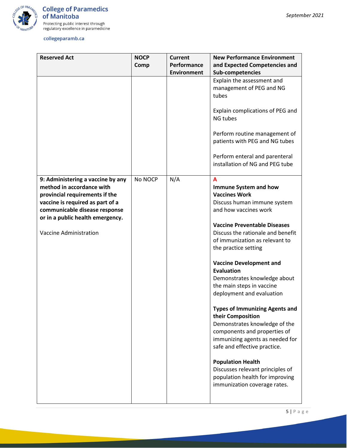

| <b>Reserved Act</b>                                                                                                                                                                                                                        | <b>NOCP</b> | <b>Current</b>     | <b>New Performance Environment</b>                                                                                                                                                                                                                                                                                                                                                                                                                                                                                                                                                                                                                                                                                                     |
|--------------------------------------------------------------------------------------------------------------------------------------------------------------------------------------------------------------------------------------------|-------------|--------------------|----------------------------------------------------------------------------------------------------------------------------------------------------------------------------------------------------------------------------------------------------------------------------------------------------------------------------------------------------------------------------------------------------------------------------------------------------------------------------------------------------------------------------------------------------------------------------------------------------------------------------------------------------------------------------------------------------------------------------------------|
|                                                                                                                                                                                                                                            | Comp        | Performance        | and Expected Competencies and                                                                                                                                                                                                                                                                                                                                                                                                                                                                                                                                                                                                                                                                                                          |
|                                                                                                                                                                                                                                            |             | <b>Environment</b> | Sub-competencies                                                                                                                                                                                                                                                                                                                                                                                                                                                                                                                                                                                                                                                                                                                       |
|                                                                                                                                                                                                                                            |             |                    | Explain the assessment and<br>management of PEG and NG<br>tubes<br>Explain complications of PEG and<br>NG tubes<br>Perform routine management of                                                                                                                                                                                                                                                                                                                                                                                                                                                                                                                                                                                       |
|                                                                                                                                                                                                                                            |             |                    | patients with PEG and NG tubes                                                                                                                                                                                                                                                                                                                                                                                                                                                                                                                                                                                                                                                                                                         |
|                                                                                                                                                                                                                                            |             |                    | Perform enteral and parenteral<br>installation of NG and PEG tube                                                                                                                                                                                                                                                                                                                                                                                                                                                                                                                                                                                                                                                                      |
| 9: Administering a vaccine by any<br>method in accordance with<br>provincial requirements if the<br>vaccine is required as part of a<br>communicable disease response<br>or in a public health emergency.<br><b>Vaccine Administration</b> | No NOCP     | N/A                | A<br>Immune System and how<br><b>Vaccines Work</b><br>Discuss human immune system<br>and how vaccines work<br><b>Vaccine Preventable Diseases</b><br>Discuss the rationale and benefit<br>of immunization as relevant to<br>the practice setting<br><b>Vaccine Development and</b><br><b>Evaluation</b><br>Demonstrates knowledge about<br>the main steps in vaccine<br>deployment and evaluation<br><b>Types of Immunizing Agents and</b><br>their Composition<br>Demonstrates knowledge of the<br>components and properties of<br>immunizing agents as needed for<br>safe and effective practice.<br><b>Population Health</b><br>Discusses relevant principles of<br>population health for improving<br>immunization coverage rates. |
|                                                                                                                                                                                                                                            |             |                    |                                                                                                                                                                                                                                                                                                                                                                                                                                                                                                                                                                                                                                                                                                                                        |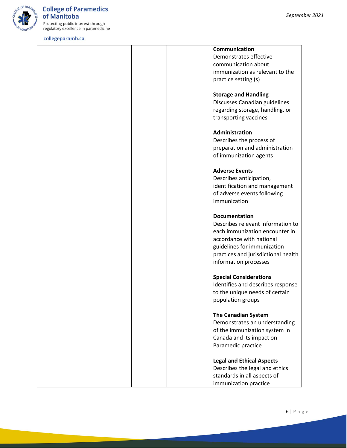

#### **Communication**

Demonstrates effective communication about immunization as relevant to the practice setting (s)

#### **Storage and Handling**

Discusses Canadian guidelines regarding storage, handling, or transporting vaccines

## **Administration**

Describes the process of preparation and administration of immunization agents

#### **Adverse Events**

Describes anticipation, identification and management of adverse events following immunization

#### **Documentation**

Describes relevant information to each immunization encounter in accordance with national guidelines for immunization practices and jurisdictional health information processes

## **Special Considerations**

Identifies and describes response to the unique needs of certain population groups

#### **The Canadian System**

Demonstrates an understanding of the immunization system in Canada and its impact on Paramedic practice

## **Legal and Ethical Aspects**

Describes the legal and ethics standards in all aspects of immunization practice